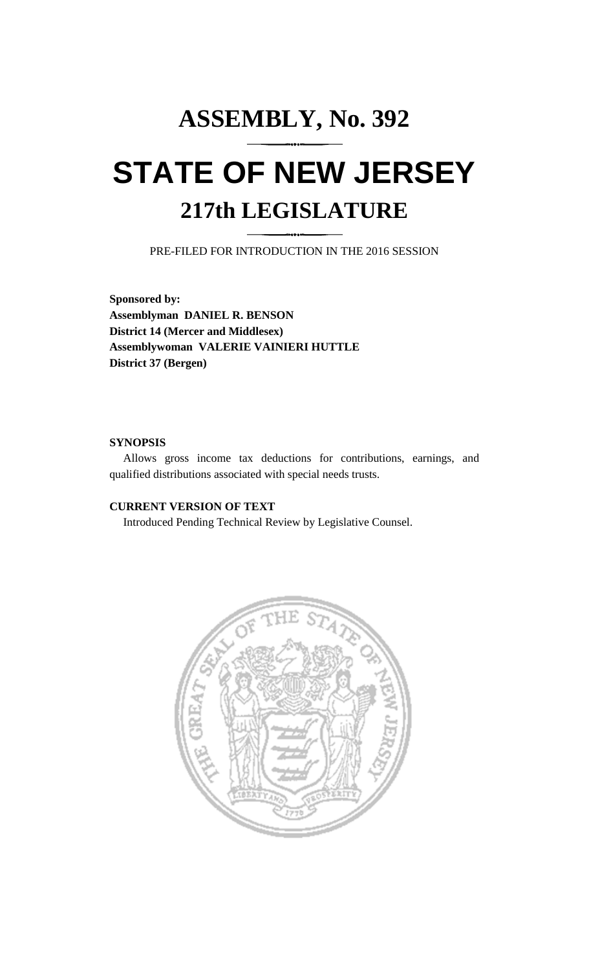# **ASSEMBLY, No. 392 STATE OF NEW JERSEY 217th LEGISLATURE**

PRE-FILED FOR INTRODUCTION IN THE 2016 SESSION

**Sponsored by: Assemblyman DANIEL R. BENSON District 14 (Mercer and Middlesex) Assemblywoman VALERIE VAINIERI HUTTLE District 37 (Bergen)**

## **SYNOPSIS**

Allows gross income tax deductions for contributions, earnings, and qualified distributions associated with special needs trusts.

## **CURRENT VERSION OF TEXT**

Introduced Pending Technical Review by Legislative Counsel.

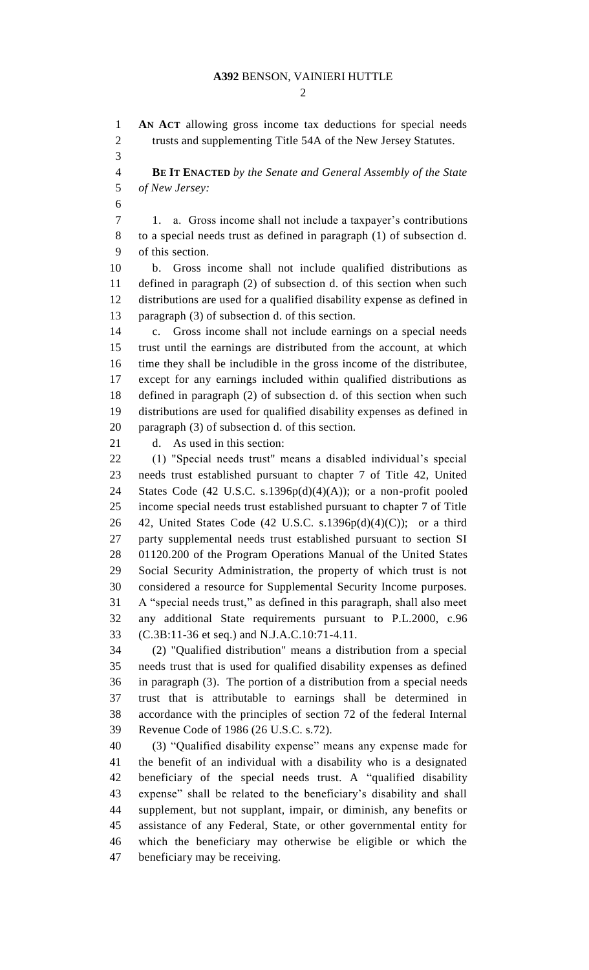### **A392** BENSON, VAINIERI HUTTLE

 $\mathcal{D}$ 

 **AN ACT** allowing gross income tax deductions for special needs 2 trusts and supplementing Title 54A of the New Jersey Statutes.

 **BE IT ENACTED** *by the Senate and General Assembly of the State of New Jersey:*

 1. a. Gross income shall not include a taxpayer's contributions to a special needs trust as defined in paragraph (1) of subsection d. of this section.

 b. Gross income shall not include qualified distributions as defined in paragraph (2) of subsection d. of this section when such distributions are used for a qualified disability expense as defined in paragraph (3) of subsection d. of this section.

 c. Gross income shall not include earnings on a special needs trust until the earnings are distributed from the account, at which time they shall be includible in the gross income of the distributee, except for any earnings included within qualified distributions as defined in paragraph (2) of subsection d. of this section when such distributions are used for qualified disability expenses as defined in paragraph (3) of subsection d. of this section.

d. As used in this section:

 (1) "Special needs trust" means a disabled individual's special needs trust established pursuant to chapter 7 of Title 42, United 24 States Code (42 U.S.C. s.1396 $p(d)(4)(A)$ ); or a non-profit pooled income special needs trust established pursuant to chapter 7 of Title 26 42, United States Code (42 U.S.C. s.1396 $p(d)(4)(C)$ ); or a third party supplemental needs trust established pursuant to section SI 01120.200 of the Program Operations Manual of the United States Social Security Administration, the property of which trust is not considered a resource for Supplemental Security Income purposes. A "special needs trust," as defined in this paragraph, shall also meet any additional State requirements pursuant to P.L.2000, c.96 (C.3B:11-36 et seq.) and N.J.A.C.10:71-4.11.

 (2) "Qualified distribution" means a distribution from a special needs trust that is used for qualified disability expenses as defined in paragraph (3). The portion of a distribution from a special needs trust that is attributable to earnings shall be determined in accordance with the principles of section 72 of the federal Internal Revenue Code of 1986 (26 U.S.C. s.72).

 (3) "Qualified disability expense" means any expense made for the benefit of an individual with a disability who is a designated beneficiary of the special needs trust. A "qualified disability expense" shall be related to the beneficiary's disability and shall supplement, but not supplant, impair, or diminish, any benefits or assistance of any Federal, State, or other governmental entity for which the beneficiary may otherwise be eligible or which the beneficiary may be receiving.